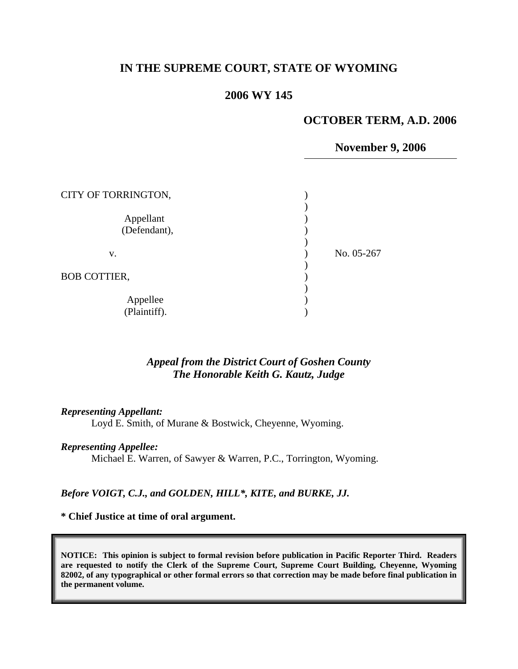# **IN THE SUPREME COURT, STATE OF WYOMING**

## **2006 WY 145**

#### **OCTOBER TERM, A.D. 2006**

### **November 9, 2006**

| CITY OF TORRINGTON,       |            |
|---------------------------|------------|
| Appellant<br>(Defendant), |            |
| v.                        | No. 05-267 |
| <b>BOB COTTIER,</b>       |            |
| Appellee<br>(Plaintiff).  |            |

## *Appeal from the District Court of Goshen County The Honorable Keith G. Kautz, Judge*

#### *Representing Appellant:*

Loyd E. Smith, of Murane & Bostwick, Cheyenne, Wyoming.

#### *Representing Appellee:*

Michael E. Warren, of Sawyer & Warren, P.C., Torrington, Wyoming.

### *Before VOIGT, C.J., and GOLDEN, HILL\*, KITE, and BURKE, JJ.*

#### **\* Chief Justice at time of oral argument.**

**NOTICE: This opinion is subject to formal revision before publication in Pacific Reporter Third. Readers are requested to notify the Clerk of the Supreme Court, Supreme Court Building, Cheyenne, Wyoming 82002, of any typographical or other formal errors so that correction may be made before final publication in the permanent volume.**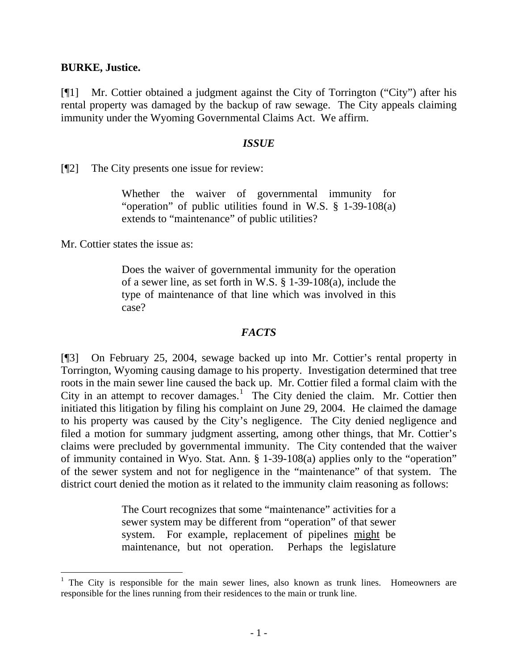### **BURKE, Justice.**

[¶1] Mr. Cottier obtained a judgment against the City of Torrington ("City") after his rental property was damaged by the backup of raw sewage. The City appeals claiming immunity under the Wyoming Governmental Claims Act. We affirm.

### *ISSUE*

[¶2] The City presents one issue for review:

Whether the waiver of governmental immunity for "operation" of public utilities found in W.S. § 1-39-108(a) extends to "maintenance" of public utilities?

Mr. Cottier states the issue as:

 $\overline{a}$ 

Does the waiver of governmental immunity for the operation of a sewer line, as set forth in W.S. § 1-39-108(a), include the type of maintenance of that line which was involved in this case?

## *FACTS*

[¶3] On February 25, 2004, sewage backed up into Mr. Cottier's rental property in Torrington, Wyoming causing damage to his property. Investigation determined that tree roots in the main sewer line caused the back up. Mr. Cottier filed a formal claim with the City in an attempt to recover damages.<sup>[1](#page-1-0)</sup> The City denied the claim. Mr. Cottier then initiated this litigation by filing his complaint on June 29, 2004. He claimed the damage to his property was caused by the City's negligence. The City denied negligence and filed a motion for summary judgment asserting, among other things, that Mr. Cottier's claims were precluded by governmental immunity. The City contended that the waiver of immunity contained in Wyo. Stat. Ann. § 1-39-108(a) applies only to the "operation" of the sewer system and not for negligence in the "maintenance" of that system. The district court denied the motion as it related to the immunity claim reasoning as follows:

> The Court recognizes that some "maintenance" activities for a sewer system may be different from "operation" of that sewer system. For example, replacement of pipelines might be maintenance, but not operation. Perhaps the legislature

<span id="page-1-0"></span><sup>&</sup>lt;sup>1</sup> The City is responsible for the main sewer lines, also known as trunk lines. Homeowners are responsible for the lines running from their residences to the main or trunk line.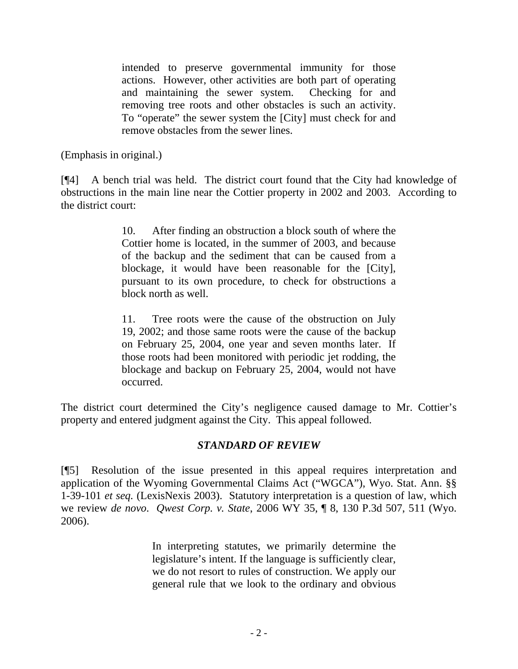intended to preserve governmental immunity for those actions. However, other activities are both part of operating and maintaining the sewer system. Checking for and removing tree roots and other obstacles is such an activity. To "operate" the sewer system the [City] must check for and remove obstacles from the sewer lines.

(Emphasis in original.)

[¶4] A bench trial was held. The district court found that the City had knowledge of obstructions in the main line near the Cottier property in 2002 and 2003. According to the district court:

> 10. After finding an obstruction a block south of where the Cottier home is located, in the summer of 2003, and because of the backup and the sediment that can be caused from a blockage, it would have been reasonable for the [City], pursuant to its own procedure, to check for obstructions a block north as well.

> 11. Tree roots were the cause of the obstruction on July 19, 2002; and those same roots were the cause of the backup on February 25, 2004, one year and seven months later. If those roots had been monitored with periodic jet rodding, the blockage and backup on February 25, 2004, would not have occurred.

The district court determined the City's negligence caused damage to Mr. Cottier's property and entered judgment against the City. This appeal followed.

# *STANDARD OF REVIEW*

[¶5] Resolution of the issue presented in this appeal requires interpretation and application of the Wyoming Governmental Claims Act ("WGCA"), Wyo. Stat. Ann. §§ 1-39-101 *et seq.* (LexisNexis 2003). Statutory interpretation is a question of law, which we review *de novo*. *Qwest Corp. v. State*[, 2006 WY 35, ¶ 8, 130 P.3d 507, 511 \(Wyo.](http://www.lexis.com/research/xlink?app=00075&view=full&searchtype=get&search=2006+WY+35%2C+P8)  [2006\)](http://www.lexis.com/research/xlink?app=00075&view=full&searchtype=get&search=2006+WY+35%2C+P8).

> In interpreting statutes, we primarily determine the legislature's intent. If the language is sufficiently clear, we do not resort to rules of construction. We apply our general rule that we look to the ordinary and obvious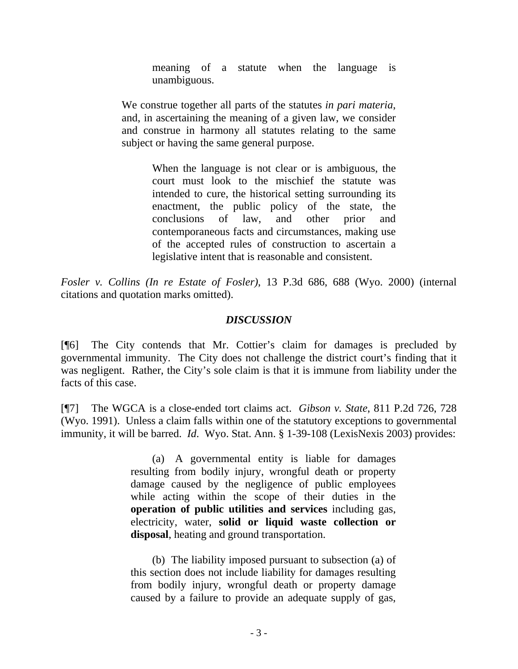meaning of a statute when the language is unambiguous.

We construe together all parts of the statutes *in pari materia*, and, in ascertaining the meaning of a given law, we consider and construe in harmony all statutes relating to the same subject or having the same general purpose.

> When the language is not clear or is ambiguous, the court must look to the mischief the statute was intended to cure, the historical setting surrounding its enactment, the public policy of the state, the conclusions of law, and other prior and contemporaneous facts and circumstances, making use of the accepted rules of construction to ascertain a legislative intent that is reasonable and consistent.

*[Fosler v. Collins \(In re Estate of Fosler\)](http://www.lexis.com/research/xlink?app=00075&view=full&searchtype=get&search=13+P.3d+688)*, 13 P.3d 686, 688 (Wyo. 2000) (internal citations and quotation marks omitted).

# *DISCUSSION*

[¶6] The City contends that Mr. Cottier's claim for damages is precluded by governmental immunity. The City does not challenge the district court's finding that it was negligent. Rather, the City's sole claim is that it is immune from liability under the facts of this case.

[¶7] The WGCA is a close-ended tort claims act. *Gibson v. State*, 811 P.2d 726, 728 (Wyo. 1991). Unless a claim falls within one of the statutory exceptions to governmental immunity, it will be barred. *Id*. Wyo. Stat. Ann. § 1-39-108 (LexisNexis 2003) provides:

> (a) A governmental entity is liable for damages resulting from bodily injury, wrongful death or property damage caused by the negligence of public employees while acting within the scope of their duties in the **operation of public utilities and services** including gas, electricity, water, **solid or liquid waste collection or disposal**, heating and ground transportation.

> (b) The liability imposed pursuant to subsection (a) of this section does not include liability for damages resulting from bodily injury, wrongful death or property damage caused by a failure to provide an adequate supply of gas,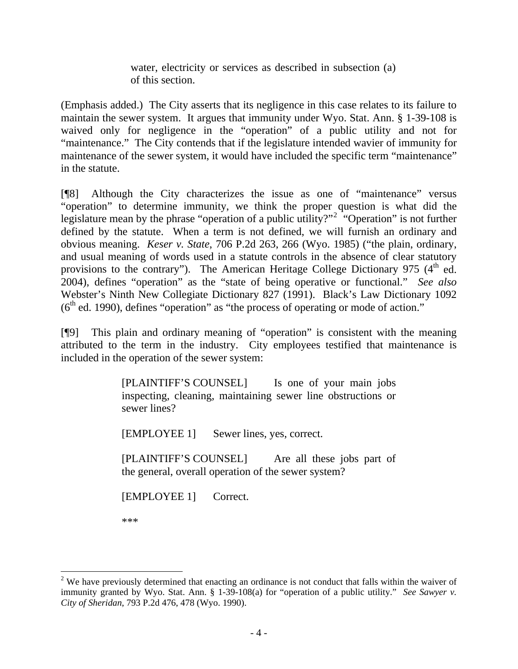water, electricity or services as described in subsection (a) of this section.

(Emphasis added.) The City asserts that its negligence in this case relates to its failure to maintain the sewer system. It argues that immunity under Wyo. Stat. Ann. § 1-39-108 is waived only for negligence in the "operation" of a public utility and not for "maintenance." The City contends that if the legislature intended wavier of immunity for maintenance of the sewer system, it would have included the specific term "maintenance" in the statute.

[¶8] Although the City characterizes the issue as one of "maintenance" versus "operation" to determine immunity, we think the proper question is what did the legislature mean by the phrase "operation of a public utility?"<sup>[2](#page-4-0)</sup> "Operation" is not further defined by the statute. When a term is not defined, we will furnish an ordinary and obvious meaning. *Keser v. State*, 706 P.2d 263, 266 (Wyo. 1985) ("the plain, ordinary, and usual meaning of words used in a statute controls in the absence of clear statutory provisions to the contrary"). The American Heritage College Dictionary 975  $(4<sup>th</sup>$  ed. 2004), defines "operation" as the "state of being operative or functional." *See also* Webster's Ninth New Collegiate Dictionary 827 (1991). Black's Law Dictionary 1092  $(6<sup>th</sup>$  ed. 1990), defines "operation" as "the process of operating or mode of action."

[¶9] This plain and ordinary meaning of "operation" is consistent with the meaning attributed to the term in the industry. City employees testified that maintenance is included in the operation of the sewer system:

> [PLAINTIFF'S COUNSEL] Is one of your main jobs inspecting, cleaning, maintaining sewer line obstructions or sewer lines?

[EMPLOYEE 1] Sewer lines, yes, correct.

[PLAINTIFF'S COUNSEL] Are all these jobs part of the general, overall operation of the sewer system?

[EMPLOYEE 1] Correct.

\*\*\*

<span id="page-4-0"></span><sup>&</sup>lt;sup>2</sup> We have previously determined that enacting an ordinance is not conduct that falls within the waiver of immunity granted by Wyo. Stat. Ann. § 1-39-108(a) for "operation of a public utility." *See Sawyer v. City of Sheridan*, 793 P.2d 476, 478 (Wyo. 1990).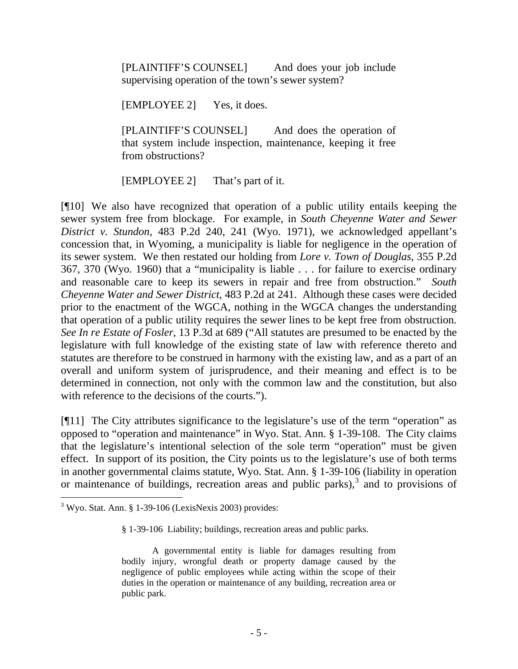[PLAINTIFF'S COUNSEL] And does your job include supervising operation of the town's sewer system?

[EMPLOYEE 2] Yes, it does.

[PLAINTIFF'S COUNSEL] And does the operation of that system include inspection, maintenance, keeping it free from obstructions?

[EMPLOYEE 2] That's part of it.

[¶10] We also have recognized that operation of a public utility entails keeping the sewer system free from blockage. For example, in *South Cheyenne Water and Sewer District v. Stundon*, 483 P.2d 240, 241 (Wyo. 1971), we acknowledged appellant's concession that, in Wyoming, a municipality is liable for negligence in the operation of its sewer system. We then restated our holding from *Lore v. Town of Douglas*, 355 P.2d 367, 370 (Wyo. 1960) that a "municipality is liable . . . for failure to exercise ordinary and reasonable care to keep its sewers in repair and free from obstruction." *South Cheyenne Water and Sewer District*, 483 P.2d at 241. Although these cases were decided prior to the enactment of the WGCA, nothing in the WGCA changes the understanding that operation of a public utility requires the sewer lines to be kept free from obstruction. *See [In re Estate of Fosler](http://www.lexis.com/research/xlink?app=00075&view=full&searchtype=get&search=13+P.3d+688)*, 13 P.3d at 689 ("All statutes are presumed to be enacted by the legislature with full knowledge of the existing state of law with reference thereto and statutes are therefore to be construed in harmony with the existing law, and as a part of an overall and uniform system of jurisprudence, and their meaning and effect is to be determined in connection, not only with the common law and the constitution, but also with reference to the decisions of the courts.").

[¶11] The City attributes significance to the legislature's use of the term "operation" as opposed to "operation and maintenance" in Wyo. Stat. Ann. § 1-39-108. The City claims that the legislature's intentional selection of the sole term "operation" must be given effect. In support of its position, the City points us to the legislature's use of both terms in another governmental claims statute, Wyo. Stat. Ann. § 1-39-106 (liability in operation or maintenance of buildings, recreation areas and public parks), $3$  and to provisions of

 $\overline{a}$ 

§ 1-39-106 Liability; buildings, recreation areas and public parks.

<span id="page-5-0"></span> $3$  Wyo. Stat. Ann. § 1-39-106 (LexisNexis 2003) provides:

A governmental entity is liable for damages resulting from bodily injury, wrongful death or property damage caused by the negligence of public employees while acting within the scope of their duties in the operation or maintenance of any building, recreation area or public park.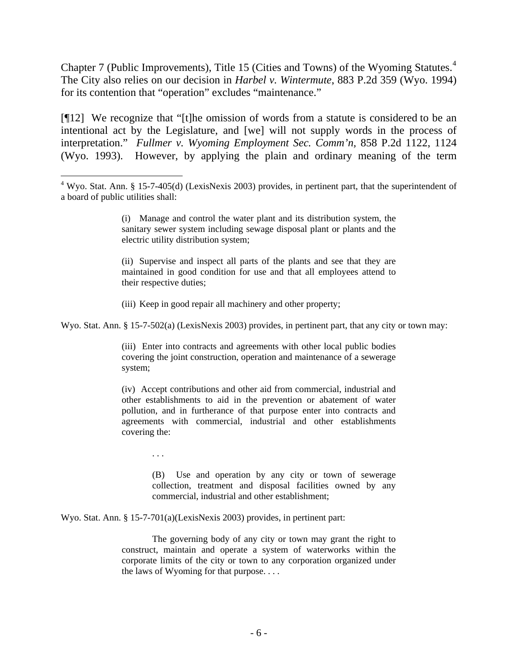Chapter 7 (Public Improvements), Title 15 (Cities and Towns) of the Wyoming Statutes.<sup>[4](#page-6-0)</sup> The City also relies on our decision in *Harbel v. Wintermute*, 883 P.2d 359 (Wyo. 1994) for its contention that "operation" excludes "maintenance."

[¶12] We recognize that "[t]he omission of words from a statute is considered to be an intentional act by the Legislature, and [we] will not supply words in the process of interpretation." *Fullmer v. Wyoming Employment Sec. Comm'n,* [858 P.2d 1122, 1124](http://www.lexis.com/research/xlink?app=00075&view=full&searchtype=get&search=858+P.2d+1124)  [\(Wyo. 1993\)](http://www.lexis.com/research/xlink?app=00075&view=full&searchtype=get&search=858+P.2d+1124). However, by applying the plain and ordinary meaning of the term

(ii) Supervise and inspect all parts of the plants and see that they are maintained in good condition for use and that all employees attend to their respective duties;

(iii) Keep in good repair all machinery and other property;

Wyo. Stat. Ann. § 15-7-502(a) (LexisNexis 2003) provides, in pertinent part, that any city or town may:

(iii) Enter into contracts and agreements with other local public bodies covering the joint construction, operation and maintenance of a sewerage system;

(iv) Accept contributions and other aid from commercial, industrial and other establishments to aid in the prevention or abatement of water pollution, and in furtherance of that purpose enter into contracts and agreements with commercial, industrial and other establishments covering the:

. . .

 $\overline{a}$ 

(B) Use and operation by any city or town of sewerage collection, treatment and disposal facilities owned by any commercial, industrial and other establishment;

Wyo. Stat. Ann. § 15-7-701(a)(LexisNexis 2003) provides, in pertinent part:

The governing body of any city or town may grant the right to construct, maintain and operate a system of waterworks within the corporate limits of the city or town to any corporation organized under the laws of Wyoming for that purpose. . . .

<span id="page-6-0"></span> $4$  Wyo. Stat. Ann. § 15-7-405(d) (LexisNexis 2003) provides, in pertinent part, that the superintendent of a board of public utilities shall:

<sup>(</sup>i) Manage and control the water plant and its distribution system, the sanitary sewer system including sewage disposal plant or plants and the electric utility distribution system;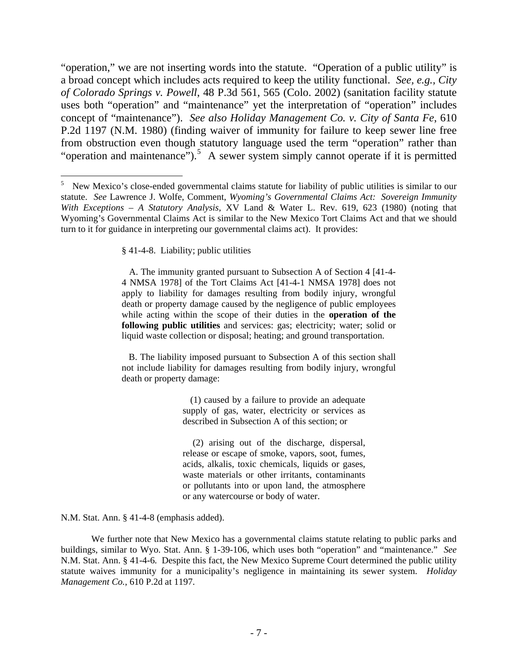"operation," we are not inserting words into the statute. "Operation of a public utility" is a broad concept which includes acts required to keep the utility functional. *See, e.g., [City](http://www.lexis.com/research/xlink?app=00075&view=full&searchtype=get&search=48+P.3d+565)  of Colorado Springs v. Powell*[, 48 P.3d 561, 565 \(Colo. 2002\)](http://www.lexis.com/research/xlink?app=00075&view=full&searchtype=get&search=48+P.3d+565) (sanitation facility statute uses both "operation" and "maintenance" yet the interpretation of "operation" includes concept of "maintenance"). *See also Holiday Management Co. v. City of Santa Fe*, 610 P.2d 1197 (N.M. 1980) (finding waiver of immunity for failure to keep sewer line free from obstruction even though statutory language used the term "operation" rather than "operation and maintenance").<sup>[5](#page-7-0)</sup> A sewer system simply cannot operate if it is permitted

§ 41-4-8. Liability; public utilities

 $\overline{a}$ 

 A. The immunity granted pursuant to Subsection A of Section 4 [41-4- 4 NMSA 1978] of the Tort Claims Act [41-4-1 NMSA 1978] does not apply to liability for damages resulting from bodily injury, wrongful death or property damage caused by the negligence of public employees while acting within the scope of their duties in the **operation of the following public utilities** and services: gas; electricity; water; solid or liquid waste collection or disposal; heating; and ground transportation.

 B. The liability imposed pursuant to Subsection A of this section shall not include liability for damages resulting from bodily injury, wrongful death or property damage:

> (1) caused by a failure to provide an adequate supply of gas, water, electricity or services as described in Subsection A of this section; or

> (2) arising out of the discharge, dispersal, release or escape of smoke, vapors, soot, fumes, acids, alkalis, toxic chemicals, liquids or gases, waste materials or other irritants, contaminants or pollutants into or upon land, the atmosphere or any watercourse or body of water.

[N.M. Stat. Ann. § 41-4-8](http://www.lexis.com/research/xlink?app=00075&view=full&searchtype=get&search=N.M.+Stat.+Ann.+%A7+41-4-8) (emphasis added).

We further note that New Mexico has a governmental claims statute relating to public parks and buildings, similar to Wyo. Stat. Ann. § 1-39-106, which uses both "operation" and "maintenance." *See* [N.M. Stat. Ann. § 41-4-6.](http://www.lexis.com/research/xlink?app=00075&view=full&searchtype=get&search=N.M.+Stat.+Ann.+%A7+41-4-6) Despite this fact, the New Mexico Supreme Court determined the public utility statute waives immunity for a municipality's negligence in maintaining its sewer system. *Holiday Management Co.*, 610 P.2d at 1197.

<span id="page-7-0"></span><sup>5</sup> New Mexico's close-ended governmental claims statute for liability of public utilities is similar to our statute. *See* Lawrence J. Wolfe, Comment, *Wyoming's Governmental Claims Act: Sovereign Immunity With Exceptions – A Statutory Analysis,* XV Land & Water L. Rev. 619, 623 (1980) (noting that Wyoming's Governmental Claims Act is similar to the New Mexico Tort Claims Act and that we should turn to it for guidance in interpreting our governmental claims act). It provides: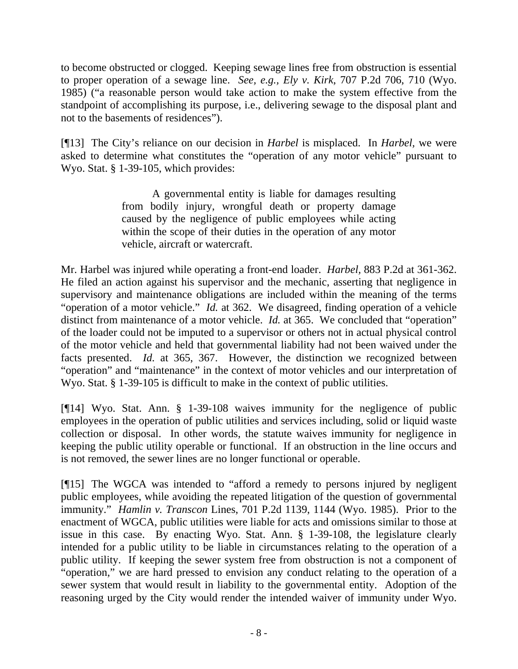to become obstructed or clogged. Keeping sewage lines free from obstruction is essential to proper operation of a sewage line. *See, e.g., Ely v. Kirk*, 707 P.2d 706, 710 (Wyo. 1985) ("a reasonable person would take action to make the system effective from the standpoint of accomplishing its purpose, i.e., delivering sewage to the disposal plant and not to the basements of residences").

[¶13] The City's reliance on our decision in *Harbel* is misplaced. In *Harbel,* we were asked to determine what constitutes the "operation of any motor vehicle" pursuant to Wyo. Stat. § 1-39-105, which provides:

> A governmental entity is liable for damages resulting from bodily injury, wrongful death or property damage caused by the negligence of public employees while acting within the scope of their duties in the operation of any motor vehicle, aircraft or watercraft.

Mr. Harbel was injured while operating a front-end loader. *Harbel,* 883 P.2d at 361-362. He filed an action against his supervisor and the mechanic, asserting that negligence in supervisory and maintenance obligations are included within the meaning of the terms "operation of a motor vehicle." *Id.* at 362. We disagreed, finding operation of a vehicle distinct from maintenance of a motor vehicle. *Id.* at 365. We concluded that "operation" of the loader could not be imputed to a supervisor or others not in actual physical control of the motor vehicle and held that governmental liability had not been waived under the facts presented. *Id.* at 365, 367. However, the distinction we recognized between "operation" and "maintenance" in the context of motor vehicles and our interpretation of Wyo. Stat. § 1-39-105 is difficult to make in the context of public utilities.

[¶14] Wyo. Stat. Ann. § 1-39-108 waives immunity for the negligence of public employees in the operation of public utilities and services including, solid or liquid waste collection or disposal. In other words, the statute waives immunity for negligence in keeping the public utility operable or functional. If an obstruction in the line occurs and is not removed, the sewer lines are no longer functional or operable.

[¶15] The WGCA was intended to "afford a remedy to persons injured by negligent public employees, while avoiding the repeated litigation of the question of governmental immunity." *Hamlin v. Transcon* Lines, 701 P.2d 1139, 1144 (Wyo. 1985). Prior to the enactment of WGCA, public utilities were liable for acts and omissions similar to those at issue in this case. By enacting Wyo. Stat. Ann. § 1-39-108, the legislature clearly intended for a public utility to be liable in circumstances relating to the operation of a public utility. If keeping the sewer system free from obstruction is not a component of "operation," we are hard pressed to envision any conduct relating to the operation of a sewer system that would result in liability to the governmental entity. Adoption of the reasoning urged by the City would render the intended waiver of immunity under Wyo.